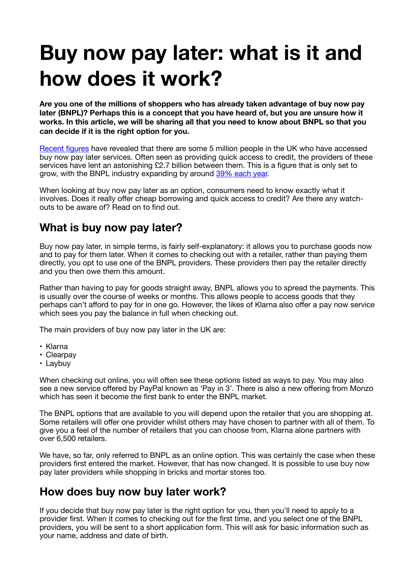# **Buy now pay later: what is it and how does it work?**

**Are you one of the millions of shoppers who has already taken advantage of buy now pay later (BNPL)? Perhaps this is a concept that you have heard of, but you are unsure how it works. In this article, we will be sharing all that you need to know about BNPL so that you can decide if it is the right option for you.** 

Recent figures have revealed that there are some 5 million people in the UK who have accessed buy now pay later services. Often seen as providing quick access to credit, the providers of these services have lent an astonishing £2.7 billion between them. This is a figure that is only set to grow, with the BNPL industry expanding by around 39% each year.

When looking at buy now pay later as an option, consumers need to know exactly what it involves. Does it really offer cheap borrowing and quick access to credit? Are there any watchouts to be aware of? Read on to find out.

#### **What is buy now pay later?**

Buy now pay later, in simple terms, is fairly self-explanatory: it allows you to purchase goods now and to pay for them later. When it comes to checking out with a retailer, rather than paying them directly, you opt to use one of the BNPL providers. These providers then pay the retailer directly and you then owe them this amount.

Rather than having to pay for goods straight away, BNPL allows you to spread the payments. This is usually over the course of weeks or months. This allows people to access goods that they perhaps can't afford to pay for in one go. However, the likes of Klarna also offer a pay now service which sees you pay the balance in full when checking out.

The main providers of buy now pay later in the UK are:

- Klarna
- Clearpay
- Laybuy

When checking out online, you will often see these options listed as ways to pay. You may also see a new service offered by PayPal known as 'Pay in 3'. There is also a new offering from Monzo which has seen it become the first bank to enter the BNPL market.

The BNPL options that are available to you will depend upon the retailer that you are shopping at. Some retailers will offer one provider whilst others may have chosen to partner with all of them. To give you a feel of the number of retailers that you can choose from, Klarna alone partners with over 6,500 retailers.

We have, so far, only referred to BNPL as an online option. This was certainly the case when these providers first entered the market. However, that has now changed. It is possible to use buy now pay later providers while shopping in bricks and mortar stores too.

## **How does buy now buy later work?**

If you decide that buy now pay later is the right option for you, then you'll need to apply to a provider first. When it comes to checking out for the first time, and you select one of the BNPL providers, you will be sent to a short application form. This will ask for basic information such as your name, address and date of birth.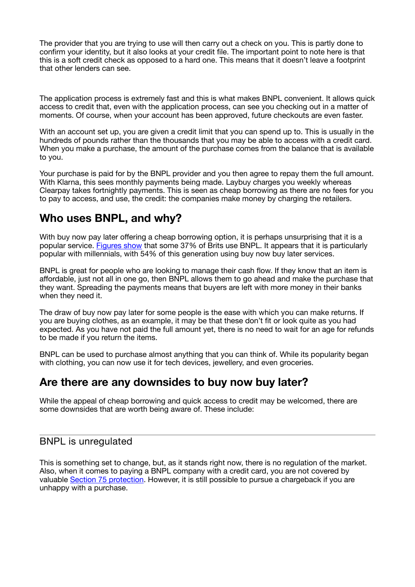The provider that you are trying to use will then carry out a check on you. This is partly done to confirm your identity, but it also looks at your credit file. The important point to note here is that this is a soft credit check as opposed to a hard one. This means that it doesn't leave a footprint that other lenders can see.

The application process is extremely fast and this is what makes BNPL convenient. It allows quick access to credit that, even with the application process, can see you checking out in a matter of moments. Of course, when your account has been approved, future checkouts are even faster.

With an account set up, you are given a credit limit that you can spend up to. This is usually in the hundreds of pounds rather than the thousands that you may be able to access with a credit card. When you make a purchase, the amount of the purchase comes from the balance that is available to you.

Your purchase is paid for by the BNPL provider and you then agree to repay them the full amount. With Klarna, this sees monthly payments being made. Laybuy charges you weekly whereas Clearpay takes fortnightly payments. This is seen as cheap borrowing as there are no fees for you to pay to access, and use, the credit: the companies make money by charging the retailers.

## **Who uses BNPL, and why?**

With buy now pay later offering a cheap borrowing option, it is perhaps unsurprising that it is a popular service. Figures show that some 37% of Brits use BNPL. It appears that it is particularly popular with millennials, with 54% of this generation using buy now buy later services.

BNPL is great for people who are looking to manage their cash flow. If they know that an item is affordable, just not all in one go, then BNPL allows them to go ahead and make the purchase that they want. Spreading the payments means that buyers are left with more money in their banks when they need it.

The draw of buy now pay later for some people is the ease with which you can make returns. If you are buying clothes, as an example, it may be that these don't fit or look quite as you had expected. As you have not paid the full amount yet, there is no need to wait for an age for refunds to be made if you return the items.

BNPL can be used to purchase almost anything that you can think of. While its popularity began with clothing, you can now use it for tech devices, jewellery, and even groceries.

## **Are there are any downsides to buy now buy later?**

While the appeal of cheap borrowing and quick access to credit may be welcomed, there are some downsides that are worth being aware of. These include:

#### BNPL is unregulated

This is something set to change, but, as it stands right now, there is no regulation of the market. Also, when it comes to paying a BNPL company with a credit card, you are not covered by valuable Section 75 protection. However, it is still possible to pursue a chargeback if you are unhappy with a purchase.